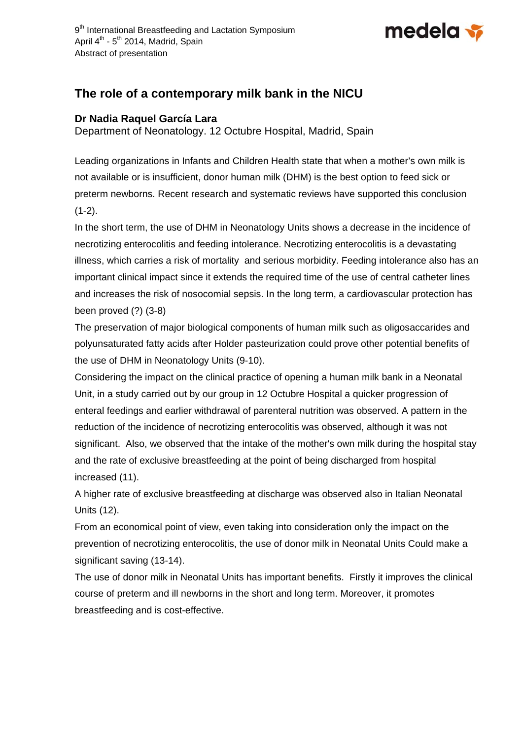

## **The role of a contemporary milk bank in the NICU**

## **Dr Nadia Raquel García Lara**

Department of Neonatology. 12 Octubre Hospital, Madrid, Spain

Leading organizations in Infants and Children Health state that when a mother's own milk is not available or is insufficient, donor human milk (DHM) is the best option to feed sick or preterm newborns. Recent research and systematic reviews have supported this conclusion  $(1-2)$ .

In the short term, the use of DHM in Neonatology Units shows a decrease in the incidence of necrotizing enterocolitis and feeding intolerance. Necrotizing enterocolitis is a devastating illness, which carries a risk of mortality and serious morbidity. Feeding intolerance also has an important clinical impact since it extends the required time of the use of central catheter lines and increases the risk of nosocomial sepsis. In the long term, a cardiovascular protection has been proved (?) (3-8)

The preservation of major biological components of human milk such as oligosaccarides and polyunsaturated fatty acids after Holder pasteurization could prove other potential benefits of the use of DHM in Neonatology Units (9-10).

Considering the impact on the clinical practice of opening a human milk bank in a Neonatal Unit, in a study carried out by our group in 12 Octubre Hospital a quicker progression of enteral feedings and earlier withdrawal of parenteral nutrition was observed. A pattern in the reduction of the incidence of necrotizing enterocolitis was observed, although it was not significant. Also, we observed that the intake of the mother's own milk during the hospital stay and the rate of exclusive breastfeeding at the point of being discharged from hospital increased (11).

A higher rate of exclusive breastfeeding at discharge was observed also in Italian Neonatal Units (12).

From an economical point of view, even taking into consideration only the impact on the prevention of necrotizing enterocolitis, the use of donor milk in Neonatal Units Could make a significant saving (13-14).

The use of donor milk in Neonatal Units has important benefits. Firstly it improves the clinical course of preterm and ill newborns in the short and long term. Moreover, it promotes breastfeeding and is cost-effective.